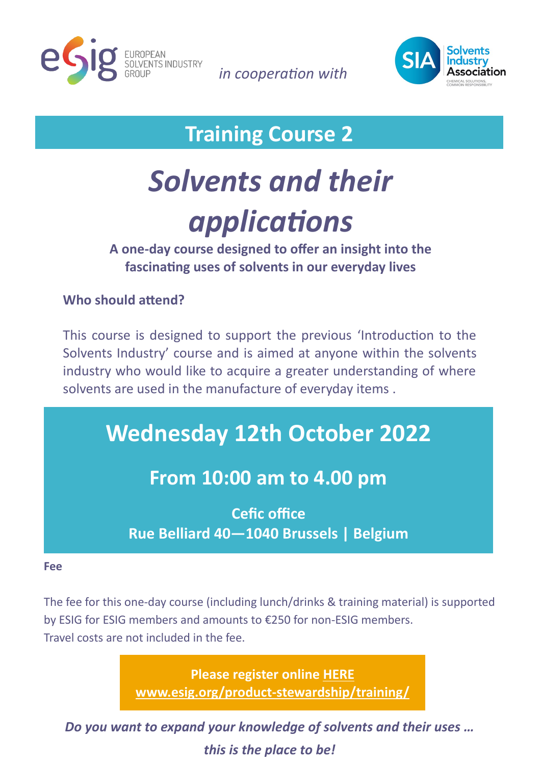

*in cooperation with* 



**Training Course 2**

# *Solvents and their applications*

**A one-day course designed to offer an insight into the fascinating uses of solvents in our everyday lives**

## **Who should attend?**

This course is designed to support the previous 'Introduction to the Solvents Industry' course and is aimed at anyone within the solvents industry who would like to acquire a greater understanding of where solvents are used in the manufacture of everyday items .

## **Wednesday 12th October 2022**

## **From 10:00 am to 4.00 pm**

**Cefic office Rue Belliard 40—1040 Brussels | Belgium**

#### **Fee**

The fee for this one-day course (including lunch/drinks & training material) is supported by ESIG for ESIG members and amounts to €250 for non-ESIG members. Travel costs are not included in the fee.

> **Please register online [HERE](http://www.esig.org/product-stewardship/training/) [www.esig.org/product](http://www.esig.org/product-stewardship/training/)-stewardship/training/**

*Do you want to expand your knowledge of solvents and their uses … this is the place to be!*